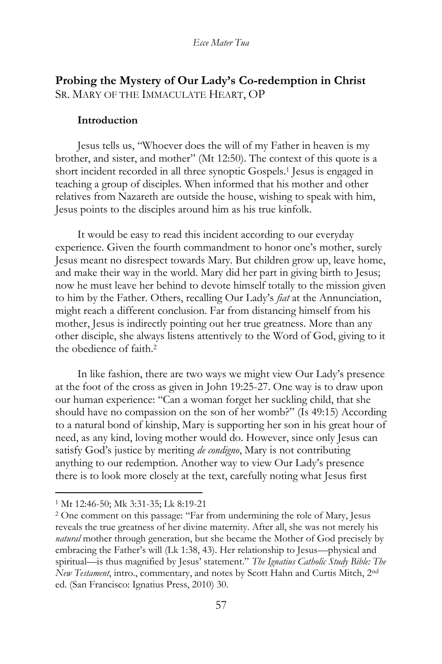# **Probing the Mystery of Our Lady's Co-redemption in Christ** SR. MARY OF THE IMMACULATE HEART, OP

#### **Introduction**

Jesus tells us, "Whoever does the will of my Father in heaven is my brother, and sister, and mother" (Mt 12:50). The context of this quote is a short incident recorded in all three synoptic Gospels.<sup>1</sup> Jesus is engaged in teaching a group of disciples. When informed that his mother and other relatives from Nazareth are outside the house, wishing to speak with him, Jesus points to the disciples around him as his true kinfolk.

It would be easy to read this incident according to our everyday experience. Given the fourth commandment to honor one's mother, surely Jesus meant no disrespect towards Mary. But children grow up, leave home, and make their way in the world. Mary did her part in giving birth to Jesus; now he must leave her behind to devote himself totally to the mission given to him by the Father. Others, recalling Our Lady's *fiat* at the Annunciation, might reach a different conclusion. Far from distancing himself from his mother, Jesus is indirectly pointing out her true greatness. More than any other disciple, she always listens attentively to the Word of God, giving to it the obedience of faith.<sup>2</sup>

In like fashion, there are two ways we might view Our Lady's presence at the foot of the cross as given in John 19:25-27. One way is to draw upon our human experience: "Can a woman forget her suckling child, that she should have no compassion on the son of her womb?" (Is 49:15) According to a natural bond of kinship, Mary is supporting her son in his great hour of need, as any kind, loving mother would do. However, since only Jesus can satisfy God's justice by meriting *de condigno*, Mary is not contributing anything to our redemption. Another way to view Our Lady's presence there is to look more closely at the text, carefully noting what Jesus first

<sup>1</sup> Mt 12:46-50; Mk 3:31-35; Lk 8:19-21

<sup>2</sup> One comment on this passage: "Far from undermining the role of Mary, Jesus reveals the true greatness of her divine maternity. After all, she was not merely his *natural* mother through generation, but she became the Mother of God precisely by embracing the Father's will (Lk 1:38, 43). Her relationship to Jesus—physical and spiritual—is thus magnified by Jesus' statement." *The Ignatius Catholic Study Bible: The New Testament*, intro., commentary, and notes by Scott Hahn and Curtis Mitch, 2nd ed. (San Francisco: Ignatius Press, 2010) 30.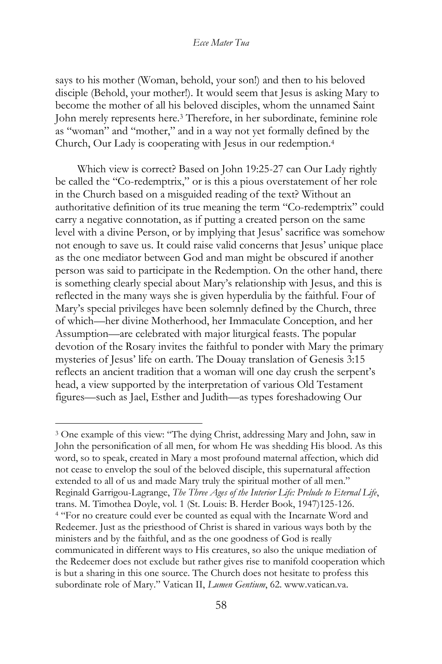says to his mother (Woman, behold, your son!) and then to his beloved disciple (Behold, your mother!). It would seem that Jesus is asking Mary to become the mother of all his beloved disciples, whom the unnamed Saint John merely represents here.<sup>3</sup> Therefore, in her subordinate, feminine role as "woman" and "mother," and in a way not yet formally defined by the Church, Our Lady is cooperating with Jesus in our redemption.<sup>4</sup>

Which view is correct? Based on John 19:25-27 can Our Lady rightly be called the "Co-redemptrix," or is this a pious overstatement of her role in the Church based on a misguided reading of the text? Without an authoritative definition of its true meaning the term "Co-redemptrix" could carry a negative connotation, as if putting a created person on the same level with a divine Person, or by implying that Jesus' sacrifice was somehow not enough to save us. It could raise valid concerns that Jesus' unique place as the one mediator between God and man might be obscured if another person was said to participate in the Redemption. On the other hand, there is something clearly special about Mary's relationship with Jesus, and this is reflected in the many ways she is given hyperdulia by the faithful. Four of Mary's special privileges have been solemnly defined by the Church, three of which—her divine Motherhood, her Immaculate Conception, and her Assumption—are celebrated with major liturgical feasts. The popular devotion of the Rosary invites the faithful to ponder with Mary the primary mysteries of Jesus' life on earth. The Douay translation of Genesis 3:15 reflects an ancient tradition that a woman will one day crush the serpent's head, a view supported by the interpretation of various Old Testament figures—such as Jael, Esther and Judith—as types foreshadowing Our

<sup>3</sup> One example of this view: "The dying Christ, addressing Mary and John, saw in John the personification of all men, for whom He was shedding His blood. As this word, so to speak, created in Mary a most profound maternal affection, which did not cease to envelop the soul of the beloved disciple, this supernatural affection extended to all of us and made Mary truly the spiritual mother of all men." Reginald Garrigou-Lagrange, *The Three Ages of the Interior Life: Prelude to Eternal Life*, trans. M. Timothea Doyle, vol. 1 (St. Louis: B. Herder Book, 1947)125-126. <sup>4</sup> "For no creature could ever be counted as equal with the Incarnate Word and Redeemer. Just as the priesthood of Christ is shared in various ways both by the ministers and by the faithful, and as the one goodness of God is really communicated in different ways to His creatures, so also the unique mediation of the Redeemer does not exclude but rather gives rise to manifold cooperation which is but a sharing in this one source. The Church does not hesitate to profess this subordinate role of Mary." Vatican II, *Lumen Gentium*, 62. www.vatican.va.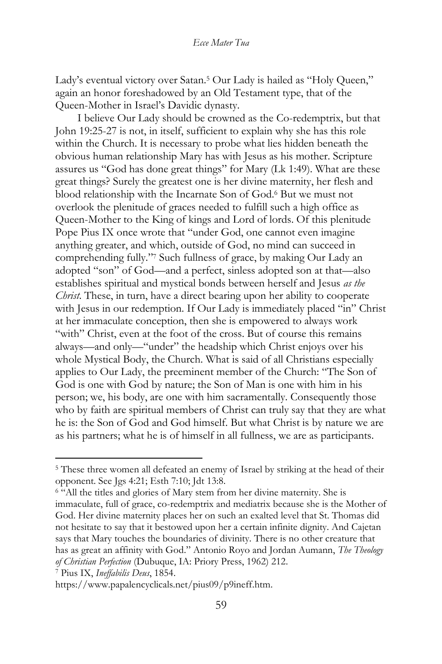Lady's eventual victory over Satan.<sup>5</sup> Our Lady is hailed as "Holy Queen," again an honor foreshadowed by an Old Testament type, that of the Queen-Mother in Israel's Davidic dynasty.

I believe Our Lady should be crowned as the Co-redemptrix, but that John 19:25-27 is not, in itself, sufficient to explain why she has this role within the Church. It is necessary to probe what lies hidden beneath the obvious human relationship Mary has with Jesus as his mother. Scripture assures us "God has done great things" for Mary (Lk 1:49). What are these great things? Surely the greatest one is her divine maternity, her flesh and blood relationship with the Incarnate Son of God.<sup>6</sup> But we must not overlook the plenitude of graces needed to fulfill such a high office as Queen-Mother to the King of kings and Lord of lords. Of this plenitude Pope Pius IX once wrote that "under God, one cannot even imagine anything greater, and which, outside of God, no mind can succeed in comprehending fully."<sup>7</sup> Such fullness of grace, by making Our Lady an adopted "son" of God—and a perfect, sinless adopted son at that—also establishes spiritual and mystical bonds between herself and Jesus *as the Christ*. These, in turn, have a direct bearing upon her ability to cooperate with Jesus in our redemption. If Our Lady is immediately placed "in" Christ at her immaculate conception, then she is empowered to always work "with" Christ, even at the foot of the cross. But of course this remains always—and only—"under" the headship which Christ enjoys over his whole Mystical Body, the Church. What is said of all Christians especially applies to Our Lady, the preeminent member of the Church: "The Son of God is one with God by nature; the Son of Man is one with him in his person; we, his body, are one with him sacramentally. Consequently those who by faith are spiritual members of Christ can truly say that they are what he is: the Son of God and God himself. But what Christ is by nature we are as his partners; what he is of himself in all fullness, we are as participants.

<sup>5</sup> These three women all defeated an enemy of Israel by striking at the head of their opponent. See Jgs 4:21; Esth 7:10; Jdt 13:8.

<sup>6</sup> "All the titles and glories of Mary stem from her divine maternity. She is immaculate, full of grace, co-redemptrix and mediatrix because she is the Mother of God. Her divine maternity places her on such an exalted level that St. Thomas did not hesitate to say that it bestowed upon her a certain infinite dignity. And Cajetan says that Mary touches the boundaries of divinity. There is no other creature that has as great an affinity with God." Antonio Royo and Jordan Aumann, *The Theology of Christian Perfection* (Dubuque, IA: Priory Press, 1962) 212.

<sup>7</sup> Pius IX, *Ineffabilis Deus*, 1854.

https://www.papalencyclicals.net/pius09/p9ineff.htm.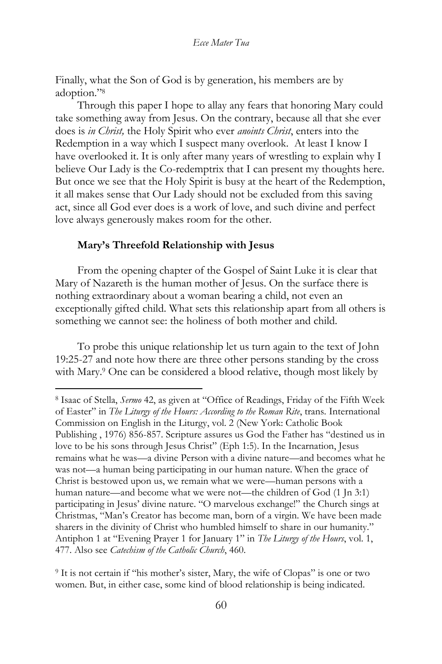Finally, what the Son of God is by generation, his members are by adoption."<sup>8</sup>

Through this paper I hope to allay any fears that honoring Mary could take something away from Jesus. On the contrary, because all that she ever does is *in Christ,* the Holy Spirit who ever *anoints Christ*, enters into the Redemption in a way which I suspect many overlook. At least I know I have overlooked it. It is only after many years of wrestling to explain why I believe Our Lady is the Co-redemptrix that I can present my thoughts here. But once we see that the Holy Spirit is busy at the heart of the Redemption, it all makes sense that Our Lady should not be excluded from this saving act, since all God ever does is a work of love, and such divine and perfect love always generously makes room for the other.

## **Mary's Threefold Relationship with Jesus**

From the opening chapter of the Gospel of Saint Luke it is clear that Mary of Nazareth is the human mother of Jesus. On the surface there is nothing extraordinary about a woman bearing a child, not even an exceptionally gifted child. What sets this relationship apart from all others is something we cannot see: the holiness of both mother and child.

To probe this unique relationship let us turn again to the text of John 19:25-27 and note how there are three other persons standing by the cross with Mary.<sup>9</sup> One can be considered a blood relative, though most likely by

<sup>8</sup> Isaac of Stella, *Sermo* 42, as given at "Office of Readings, Friday of the Fifth Week of Easter" in *The Liturgy of the Hours: According to the Roman Rite*, trans. International Commission on English in the Liturgy, vol. 2 (New York: Catholic Book Publishing , 1976) 856-857. Scripture assures us God the Father has "destined us in love to be his sons through Jesus Christ" (Eph 1:5). In the Incarnation, Jesus remains what he was—a divine Person with a divine nature—and becomes what he was not—a human being participating in our human nature. When the grace of Christ is bestowed upon us, we remain what we were—human persons with a human nature—and become what we were not—the children of God (1 Jn 3:1) participating in Jesus' divine nature. "O marvelous exchange!" the Church sings at Christmas, "Man's Creator has become man, born of a virgin. We have been made sharers in the divinity of Christ who humbled himself to share in our humanity." Antiphon 1 at "Evening Prayer 1 for January 1" in *The Liturgy of the Hours*, vol. 1, 477. Also see *Catechism of the Catholic Church*, 460.

<sup>9</sup> It is not certain if "his mother's sister, Mary, the wife of Clopas" is one or two women. But, in either case, some kind of blood relationship is being indicated.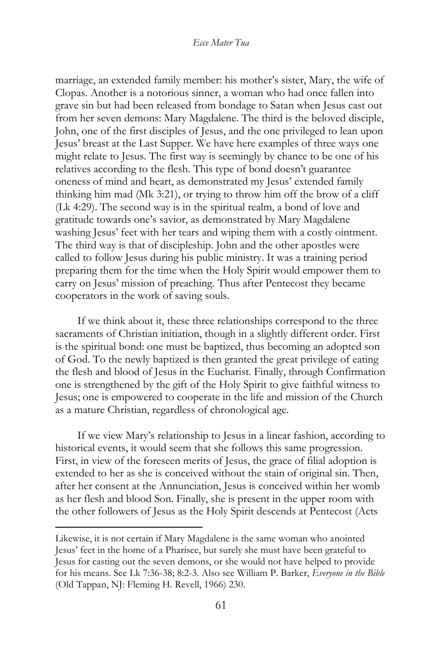marriage, an extended family member: his mother's sister, Mary, the wife of Clopas. Another is a notorious sinner, a woman who had once fallen into grave sin but had been released from bondage to Satan when Jesus cast out from her seven demons: Mary Magdalene. The third is the beloved disciple, John, one of the first disciples of Jesus, and the one privileged to lean upon Jesus' breast at the Last Supper. We have here examples of three ways one might relate to Jesus. The first way is seemingly by chance to be one of his relatives according to the flesh. This type of bond doesn't guarantee oneness of mind and heart, as demonstrated my Jesus' extended family thinking him mad (Mk 3:21), or trying to throw him off the brow of a cliff (Lk 4:29). The second way is in the spiritual realm, a bond of love and gratitude towards one's savior, as demonstrated by Mary Magdalene washing Jesus' feet with her tears and wiping them with a costly ointment. The third way is that of discipleship. John and the other apostles were called to follow Jesus during his public ministry. It was a training period preparing them for the time when the Holy Spirit would empower them to carry on Jesus' mission of preaching. Thus after Pentecost they became cooperators in the work of saving souls.

If we think about it, these three relationships correspond to the three sacraments of Christian initiation, though in a slightly different order. First is the spiritual bond: one must be baptized, thus becoming an adopted son of God. To the newly baptized is then granted the great privilege of eating the flesh and blood of Jesus in the Eucharist. Finally, through Confirmation one is strengthened by the gift of the Holy Spirit to give faithful witness to Jesus; one is empowered to cooperate in the life and mission of the Church as a mature Christian, regardless of chronological age.

If we view Mary's relationship to Jesus in a linear fashion, according to historical events, it would seem that she follows this same progression. First, in view of the foreseen merits of Jesus, the grace of filial adoption is extended to her as she is conceived without the stain of original sin. Then, after her consent at the Annunciation, Jesus is conceived within her womb as her flesh and blood Son. Finally, she is present in the upper room with the other followers of Jesus as the Holy Spirit descends at Pentecost (Acts

Likewise, it is not certain if Mary Magdalene is the same woman who anointed Jesus' feet in the home of a Pharisee, but surely she must have been grateful to Jesus for casting out the seven demons, or she would not have helped to provide for his means. See Lk 7:36-38; 8:2-3. Also see William P. Barker, *Everyone in the Bible* (Old Tappan, NJ: Fleming H. Revell, 1966) 230.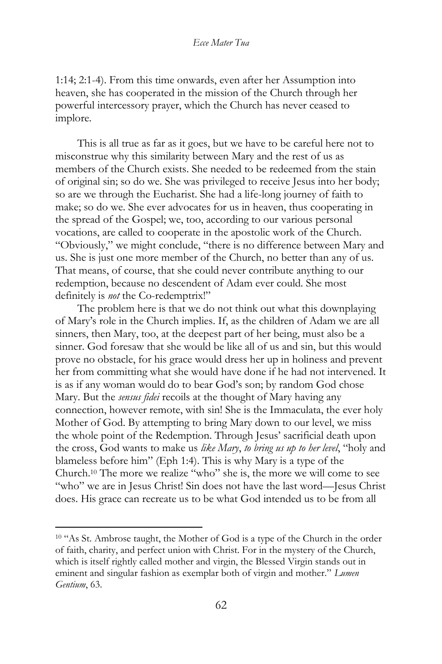1:14; 2:1-4). From this time onwards, even after her Assumption into heaven, she has cooperated in the mission of the Church through her powerful intercessory prayer, which the Church has never ceased to implore.

This is all true as far as it goes, but we have to be careful here not to misconstrue why this similarity between Mary and the rest of us as members of the Church exists. She needed to be redeemed from the stain of original sin; so do we. She was privileged to receive Jesus into her body; so are we through the Eucharist. She had a life-long journey of faith to make; so do we. She ever advocates for us in heaven, thus cooperating in the spread of the Gospel; we, too, according to our various personal vocations, are called to cooperate in the apostolic work of the Church. "Obviously," we might conclude, "there is no difference between Mary and us. She is just one more member of the Church, no better than any of us. That means, of course, that she could never contribute anything to our redemption, because no descendent of Adam ever could. She most definitely is *not* the Co-redemptrix!"

The problem here is that we do not think out what this downplaying of Mary's role in the Church implies. If, as the children of Adam we are all sinners, then Mary, too, at the deepest part of her being, must also be a sinner. God foresaw that she would be like all of us and sin, but this would prove no obstacle, for his grace would dress her up in holiness and prevent her from committing what she would have done if he had not intervened. It is as if any woman would do to bear God's son; by random God chose Mary. But the *sensus fidei* recoils at the thought of Mary having any connection, however remote, with sin! She is the Immaculata, the ever holy Mother of God. By attempting to bring Mary down to our level, we miss the whole point of the Redemption. Through Jesus' sacrificial death upon the cross, God wants to make us *like Mary*, *to bring us up to her level*, "holy and blameless before him" (Eph 1:4). This is why Mary is a type of the Church.<sup>10</sup> The more we realize "who" she is, the more we will come to see "who" we are in Jesus Christ! Sin does not have the last word—Jesus Christ does. His grace can recreate us to be what God intended us to be from all

<sup>&</sup>lt;sup>10</sup> "As St. Ambrose taught, the Mother of God is a type of the Church in the order of faith, charity, and perfect union with Christ. For in the mystery of the Church, which is itself rightly called mother and virgin, the Blessed Virgin stands out in eminent and singular fashion as exemplar both of virgin and mother." *Lumen Gentium*, 63.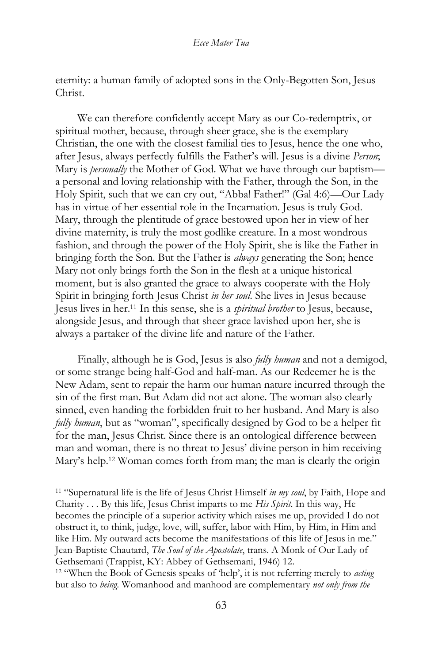eternity: a human family of adopted sons in the Only-Begotten Son, Jesus Christ.

We can therefore confidently accept Mary as our Co-redemptrix, or spiritual mother, because, through sheer grace, she is the exemplary Christian, the one with the closest familial ties to Jesus, hence the one who, after Jesus, always perfectly fulfills the Father's will. Jesus is a divine *Person*; Mary is *personally* the Mother of God. What we have through our baptism a personal and loving relationship with the Father, through the Son, in the Holy Spirit, such that we can cry out, "Abba! Father!" (Gal 4:6)—Our Lady has in virtue of her essential role in the Incarnation. Jesus is truly God. Mary, through the plentitude of grace bestowed upon her in view of her divine maternity, is truly the most godlike creature. In a most wondrous fashion, and through the power of the Holy Spirit, she is like the Father in bringing forth the Son. But the Father is *always* generating the Son; hence Mary not only brings forth the Son in the flesh at a unique historical moment, but is also granted the grace to always cooperate with the Holy Spirit in bringing forth Jesus Christ *in her soul*. She lives in Jesus because Jesus lives in her.<sup>11</sup> In this sense, she is a *spiritual brother* to Jesus, because, alongside Jesus, and through that sheer grace lavished upon her, she is always a partaker of the divine life and nature of the Father.

Finally, although he is God, Jesus is also *fully human* and not a demigod, or some strange being half-God and half-man. As our Redeemer he is the New Adam, sent to repair the harm our human nature incurred through the sin of the first man. But Adam did not act alone. The woman also clearly sinned, even handing the forbidden fruit to her husband. And Mary is also *fully human*, but as "woman", specifically designed by God to be a helper fit for the man, Jesus Christ. Since there is an ontological difference between man and woman, there is no threat to Jesus' divine person in him receiving Mary's help.<sup>12</sup> Woman comes forth from man; the man is clearly the origin

<sup>11</sup> "Supernatural life is the life of Jesus Christ Himself *in my soul*, by Faith, Hope and Charity . . . By this life, Jesus Christ imparts to me *His Spirit*. In this way, He becomes the principle of a superior activity which raises me up, provided I do not obstruct it, to think, judge, love, will, suffer, labor with Him, by Him, in Him and like Him. My outward acts become the manifestations of this life of Jesus in me." Jean-Baptiste Chautard, *The Soul of the Apostolate*, trans. A Monk of Our Lady of Gethsemani (Trappist, KY: Abbey of Gethsemani, 1946) 12.

<sup>12</sup> "When the Book of Genesis speaks of 'help', it is not referring merely to *acting* but also to *being*. Womanhood and manhood are complementary *not only from the*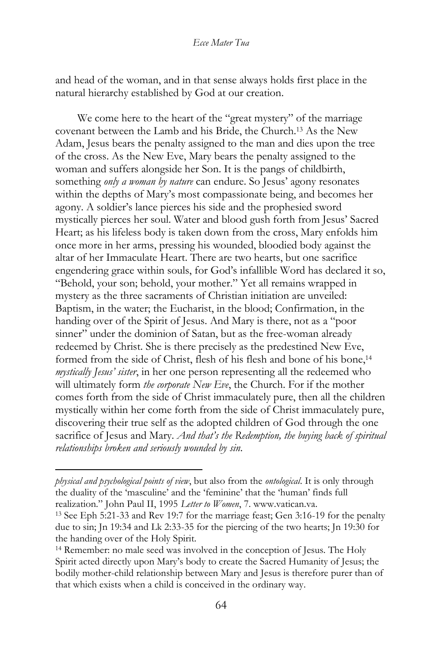and head of the woman, and in that sense always holds first place in the natural hierarchy established by God at our creation.

We come here to the heart of the "great mystery" of the marriage covenant between the Lamb and his Bride, the Church.<sup>13</sup> As the New Adam, Jesus bears the penalty assigned to the man and dies upon the tree of the cross. As the New Eve, Mary bears the penalty assigned to the woman and suffers alongside her Son. It is the pangs of childbirth, something *only a woman by nature* can endure. So Jesus' agony resonates within the depths of Mary's most compassionate being, and becomes her agony. A soldier's lance pierces his side and the prophesied sword mystically pierces her soul. Water and blood gush forth from Jesus' Sacred Heart; as his lifeless body is taken down from the cross, Mary enfolds him once more in her arms, pressing his wounded, bloodied body against the altar of her Immaculate Heart. There are two hearts, but one sacrifice engendering grace within souls, for God's infallible Word has declared it so, "Behold, your son; behold, your mother." Yet all remains wrapped in mystery as the three sacraments of Christian initiation are unveiled: Baptism, in the water; the Eucharist, in the blood; Confirmation, in the handing over of the Spirit of Jesus. And Mary is there, not as a "poor sinner" under the dominion of Satan, but as the free-woman already redeemed by Christ. She is there precisely as the predestined New Eve, formed from the side of Christ, flesh of his flesh and bone of his bone,<sup>14</sup> *mystically Jesus' sister*, in her one person representing all the redeemed who will ultimately form *the corporate New Eve*, the Church. For if the mother comes forth from the side of Christ immaculately pure, then all the children mystically within her come forth from the side of Christ immaculately pure, discovering their true self as the adopted children of God through the one sacrifice of Jesus and Mary. *And that's the Redemption, the buying back of spiritual relationships broken and seriously wounded by sin*.

*physical and psychological points of view*, but also from the *ontological*. It is only through the duality of the 'masculine' and the 'feminine' that the 'human' finds full realization." John Paul II, 1995 *Letter to Women*, 7. www.vatican.va.

<sup>13</sup> See Eph 5:21-33 and Rev 19:7 for the marriage feast; Gen 3:16-19 for the penalty due to sin; Jn 19:34 and Lk 2:33-35 for the piercing of the two hearts; Jn 19:30 for the handing over of the Holy Spirit.

<sup>14</sup> Remember: no male seed was involved in the conception of Jesus. The Holy Spirit acted directly upon Mary's body to create the Sacred Humanity of Jesus; the bodily mother-child relationship between Mary and Jesus is therefore purer than of that which exists when a child is conceived in the ordinary way.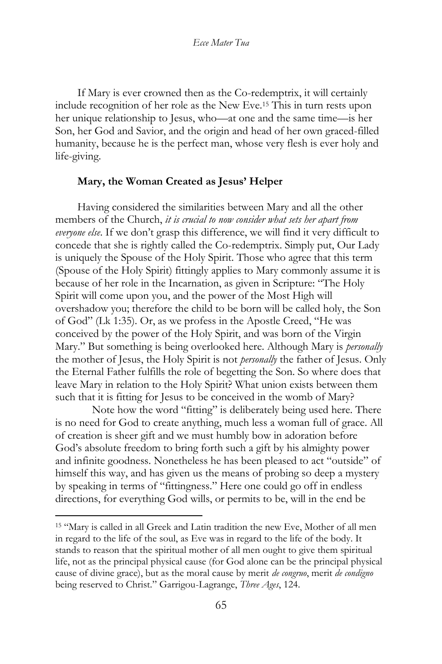If Mary is ever crowned then as the Co-redemptrix, it will certainly include recognition of her role as the New Eve.<sup>15</sup> This in turn rests upon her unique relationship to Jesus, who—at one and the same time—is her Son, her God and Savior, and the origin and head of her own graced-filled humanity, because he is the perfect man, whose very flesh is ever holy and life-giving.

### **Mary, the Woman Created as Jesus' Helper**

Having considered the similarities between Mary and all the other members of the Church, *it is crucial to now consider what sets her apart from everyone else*. If we don't grasp this difference, we will find it very difficult to concede that she is rightly called the Co-redemptrix. Simply put, Our Lady is uniquely the Spouse of the Holy Spirit. Those who agree that this term (Spouse of the Holy Spirit) fittingly applies to Mary commonly assume it is because of her role in the Incarnation, as given in Scripture: "The Holy Spirit will come upon you, and the power of the Most High will overshadow you; therefore the child to be born will be called holy, the Son of God" (Lk 1:35). Or, as we profess in the Apostle Creed, "He was conceived by the power of the Holy Spirit, and was born of the Virgin Mary." But something is being overlooked here. Although Mary is *personally* the mother of Jesus, the Holy Spirit is not *personally* the father of Jesus. Only the Eternal Father fulfills the role of begetting the Son. So where does that leave Mary in relation to the Holy Spirit? What union exists between them such that it is fitting for Jesus to be conceived in the womb of Mary?

Note how the word "fitting" is deliberately being used here. There is no need for God to create anything, much less a woman full of grace. All of creation is sheer gift and we must humbly bow in adoration before God's absolute freedom to bring forth such a gift by his almighty power and infinite goodness. Nonetheless he has been pleased to act "outside" of himself this way, and has given us the means of probing so deep a mystery by speaking in terms of "fittingness." Here one could go off in endless directions, for everything God wills, or permits to be, will in the end be

<sup>15</sup> "Mary is called in all Greek and Latin tradition the new Eve, Mother of all men in regard to the life of the soul, as Eve was in regard to the life of the body. It stands to reason that the spiritual mother of all men ought to give them spiritual life, not as the principal physical cause (for God alone can be the principal physical cause of divine grace), but as the moral cause by merit *de congruo*, merit *de condigno* being reserved to Christ." Garrigou-Lagrange, *Three Ages*, 124.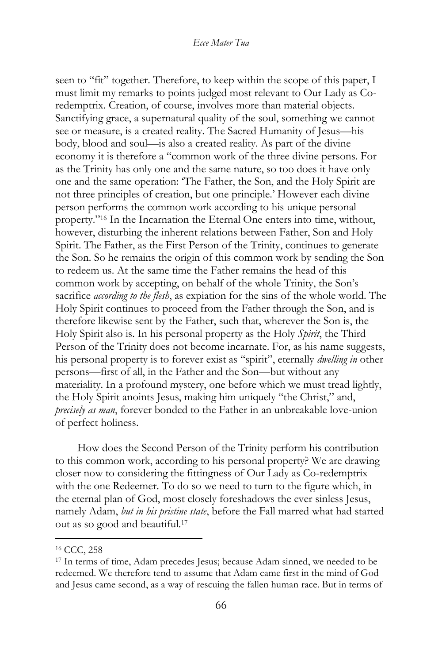seen to "fit" together. Therefore, to keep within the scope of this paper, I must limit my remarks to points judged most relevant to Our Lady as Coredemptrix. Creation, of course, involves more than material objects. Sanctifying grace, a supernatural quality of the soul, something we cannot see or measure, is a created reality. The Sacred Humanity of Jesus—his body, blood and soul—is also a created reality. As part of the divine economy it is therefore a "common work of the three divine persons. For as the Trinity has only one and the same nature, so too does it have only one and the same operation: 'The Father, the Son, and the Holy Spirit are not three principles of creation, but one principle.' However each divine person performs the common work according to his unique personal property."<sup>16</sup> In the Incarnation the Eternal One enters into time, without, however, disturbing the inherent relations between Father, Son and Holy Spirit. The Father, as the First Person of the Trinity, continues to generate the Son. So he remains the origin of this common work by sending the Son to redeem us. At the same time the Father remains the head of this common work by accepting, on behalf of the whole Trinity, the Son's sacrifice *according to the flesh*, as expiation for the sins of the whole world. The Holy Spirit continues to proceed from the Father through the Son, and is therefore likewise sent by the Father, such that, wherever the Son is, the Holy Spirit also is. In his personal property as the Holy *Spirit*, the Third Person of the Trinity does not become incarnate. For, as his name suggests, his personal property is to forever exist as "spirit", eternally *dwelling in* other persons—first of all, in the Father and the Son—but without any materiality. In a profound mystery, one before which we must tread lightly, the Holy Spirit anoints Jesus, making him uniquely "the Christ," and, *precisely as man*, forever bonded to the Father in an unbreakable love-union of perfect holiness.

How does the Second Person of the Trinity perform his contribution to this common work, according to his personal property? We are drawing closer now to considering the fittingness of Our Lady as Co-redemptrix with the one Redeemer. To do so we need to turn to the figure which, in the eternal plan of God, most closely foreshadows the ever sinless Jesus, namely Adam, *but in his pristine state*, before the Fall marred what had started out as so good and beautiful.<sup>17</sup>

<sup>16</sup> CCC, 258

<sup>17</sup> In terms of time, Adam precedes Jesus; because Adam sinned, we needed to be redeemed. We therefore tend to assume that Adam came first in the mind of God and Jesus came second, as a way of rescuing the fallen human race. But in terms of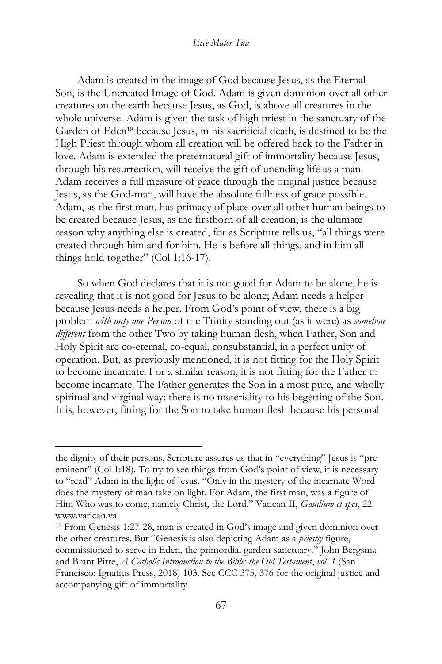Adam is created in the image of God because Jesus, as the Eternal Son, is the Uncreated Image of God. Adam is given dominion over all other creatures on the earth because Jesus, as God, is above all creatures in the whole universe. Adam is given the task of high priest in the sanctuary of the Garden of Eden<sup>18</sup> because Jesus, in his sacrificial death, is destined to be the High Priest through whom all creation will be offered back to the Father in love. Adam is extended the preternatural gift of immortality because Jesus, through his resurrection, will receive the gift of unending life as a man. Adam receives a full measure of grace through the original justice because Jesus, as the God-man, will have the absolute fullness of grace possible. Adam, as the first man, has primacy of place over all other human beings to be created because Jesus, as the firstborn of all creation, is the ultimate reason why anything else is created, for as Scripture tells us, "all things were created through him and for him. He is before all things, and in him all things hold together" (Col 1:16-17).

So when God declares that it is not good for Adam to be alone, he is revealing that it is not good for Jesus to be alone; Adam needs a helper because Jesus needs a helper. From God's point of view, there is a big problem *with only one Person* of the Trinity standing out (as it were) as *somehow different* from the other Two by taking human flesh, when Father, Son and Holy Spirit are co-eternal, co-equal, consubstantial, in a perfect unity of operation. But, as previously mentioned, it is not fitting for the Holy Spirit to become incarnate. For a similar reason, it is not fitting for the Father to become incarnate. The Father generates the Son in a most pure, and wholly spiritual and virginal way; there is no materiality to his begetting of the Son. It is, however, fitting for the Son to take human flesh because his personal

the dignity of their persons, Scripture assures us that in "everything" Jesus is "preeminent" (Col 1:18). To try to see things from God's point of view, it is necessary to "read" Adam in the light of Jesus. "Only in the mystery of the incarnate Word does the mystery of man take on light. For Adam, the first man, was a figure of Him Who was to come, namely Christ, the Lord." Vatican II, *Gaudium et spes*, 22. www.vatican.va.

<sup>18</sup> From Genesis 1:27-28, man is created in God's image and given dominion over the other creatures. But "Genesis is also depicting Adam as a *priestly* figure, commissioned to serve in Eden, the primordial garden-sanctuary." John Bergsma and Brant Pitre, *A Catholic Introduction to the Bible: the Old Testament*, *vol. 1* (San Francisco: Ignatius Press, 2018) 103. See CCC 375, 376 for the original justice and accompanying gift of immortality.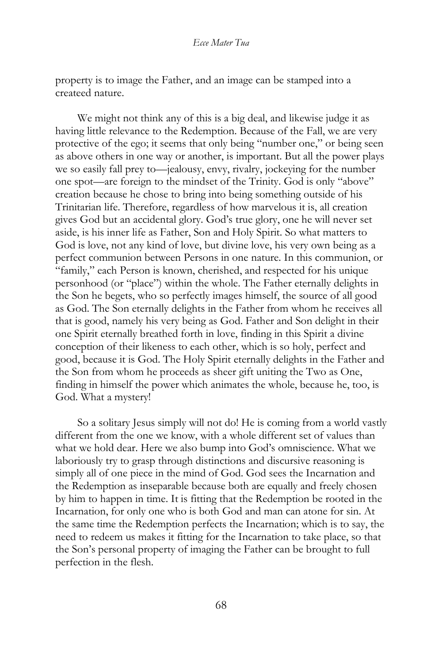property is to image the Father, and an image can be stamped into a createed nature.

We might not think any of this is a big deal, and likewise judge it as having little relevance to the Redemption. Because of the Fall, we are very protective of the ego; it seems that only being "number one," or being seen as above others in one way or another, is important. But all the power plays we so easily fall prey to—jealousy, envy, rivalry, jockeying for the number one spot—are foreign to the mindset of the Trinity. God is only "above" creation because he chose to bring into being something outside of his Trinitarian life. Therefore, regardless of how marvelous it is, all creation gives God but an accidental glory. God's true glory, one he will never set aside, is his inner life as Father, Son and Holy Spirit. So what matters to God is love, not any kind of love, but divine love, his very own being as a perfect communion between Persons in one nature. In this communion, or "family," each Person is known, cherished, and respected for his unique personhood (or "place") within the whole. The Father eternally delights in the Son he begets, who so perfectly images himself, the source of all good as God. The Son eternally delights in the Father from whom he receives all that is good, namely his very being as God. Father and Son delight in their one Spirit eternally breathed forth in love, finding in this Spirit a divine conception of their likeness to each other, which is so holy, perfect and good, because it is God. The Holy Spirit eternally delights in the Father and the Son from whom he proceeds as sheer gift uniting the Two as One, finding in himself the power which animates the whole, because he, too, is God. What a mystery!

So a solitary Jesus simply will not do! He is coming from a world vastly different from the one we know, with a whole different set of values than what we hold dear. Here we also bump into God's omniscience. What we laboriously try to grasp through distinctions and discursive reasoning is simply all of one piece in the mind of God. God sees the Incarnation and the Redemption as inseparable because both are equally and freely chosen by him to happen in time. It is fitting that the Redemption be rooted in the Incarnation, for only one who is both God and man can atone for sin. At the same time the Redemption perfects the Incarnation; which is to say, the need to redeem us makes it fitting for the Incarnation to take place, so that the Son's personal property of imaging the Father can be brought to full perfection in the flesh.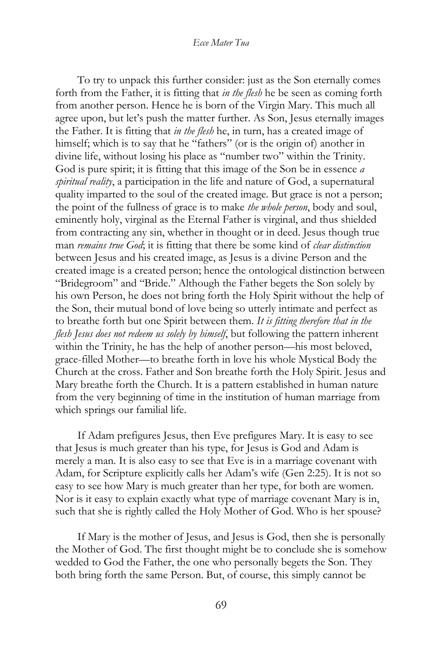To try to unpack this further consider: just as the Son eternally comes forth from the Father, it is fitting that *in the flesh* he be seen as coming forth from another person. Hence he is born of the Virgin Mary. This much all agree upon, but let's push the matter further. As Son, Jesus eternally images the Father. It is fitting that *in the flesh* he, in turn, has a created image of himself; which is to say that he "fathers" (or is the origin of) another in divine life, without losing his place as "number two" within the Trinity. God is pure spirit; it is fitting that this image of the Son be in essence *a spiritual reality*, a participation in the life and nature of God, a supernatural quality imparted to the soul of the created image. But grace is not a person; the point of the fullness of grace is to make *the whole person*, body and soul, eminently holy, virginal as the Eternal Father is virginal, and thus shielded from contracting any sin, whether in thought or in deed. Jesus though true man *remains true God*; it is fitting that there be some kind of *clear distinction* between Jesus and his created image, as Jesus is a divine Person and the created image is a created person; hence the ontological distinction between "Bridegroom" and "Bride." Although the Father begets the Son solely by his own Person, he does not bring forth the Holy Spirit without the help of the Son, their mutual bond of love being so utterly intimate and perfect as to breathe forth but one Spirit between them. *It is fitting therefore that in the flesh Jesus does not redeem us solely by himself*, but following the pattern inherent within the Trinity, he has the help of another person—his most beloved, grace-filled Mother—to breathe forth in love his whole Mystical Body the Church at the cross. Father and Son breathe forth the Holy Spirit. Jesus and Mary breathe forth the Church. It is a pattern established in human nature from the very beginning of time in the institution of human marriage from which springs our familial life.

If Adam prefigures Jesus, then Eve prefigures Mary. It is easy to see that Jesus is much greater than his type, for Jesus is God and Adam is merely a man. It is also easy to see that Eve is in a marriage covenant with Adam, for Scripture explicitly calls her Adam's wife (Gen 2:25). It is not so easy to see how Mary is much greater than her type, for both are women. Nor is it easy to explain exactly what type of marriage covenant Mary is in, such that she is rightly called the Holy Mother of God. Who is her spouse?

If Mary is the mother of Jesus, and Jesus is God, then she is personally the Mother of God. The first thought might be to conclude she is somehow wedded to God the Father, the one who personally begets the Son. They both bring forth the same Person. But, of course, this simply cannot be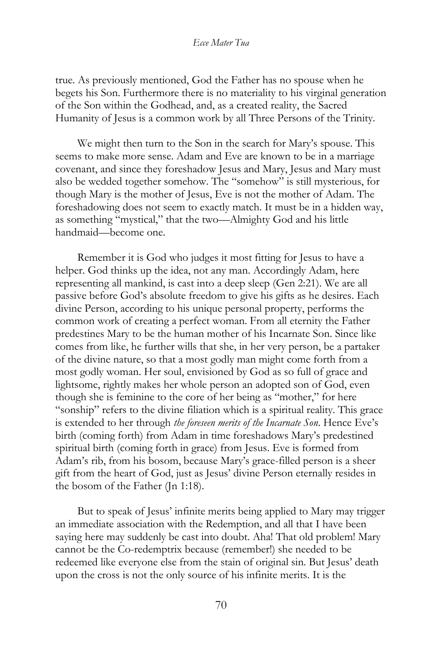true. As previously mentioned, God the Father has no spouse when he begets his Son. Furthermore there is no materiality to his virginal generation of the Son within the Godhead, and, as a created reality, the Sacred Humanity of Jesus is a common work by all Three Persons of the Trinity.

We might then turn to the Son in the search for Mary's spouse. This seems to make more sense. Adam and Eve are known to be in a marriage covenant, and since they foreshadow Jesus and Mary, Jesus and Mary must also be wedded together somehow. The "somehow" is still mysterious, for though Mary is the mother of Jesus, Eve is not the mother of Adam. The foreshadowing does not seem to exactly match. It must be in a hidden way, as something "mystical," that the two—Almighty God and his little handmaid—become one.

Remember it is God who judges it most fitting for Jesus to have a helper. God thinks up the idea, not any man. Accordingly Adam, here representing all mankind, is cast into a deep sleep (Gen 2:21). We are all passive before God's absolute freedom to give his gifts as he desires. Each divine Person, according to his unique personal property, performs the common work of creating a perfect woman. From all eternity the Father predestines Mary to be the human mother of his Incarnate Son. Since like comes from like, he further wills that she, in her very person, be a partaker of the divine nature, so that a most godly man might come forth from a most godly woman. Her soul, envisioned by God as so full of grace and lightsome, rightly makes her whole person an adopted son of God, even though she is feminine to the core of her being as "mother," for here "sonship" refers to the divine filiation which is a spiritual reality. This grace is extended to her through *the foreseen merits of the Incarnate Son*. Hence Eve's birth (coming forth) from Adam in time foreshadows Mary's predestined spiritual birth (coming forth in grace) from Jesus. Eve is formed from Adam's rib, from his bosom, because Mary's grace-filled person is a sheer gift from the heart of God, just as Jesus' divine Person eternally resides in the bosom of the Father (Jn 1:18).

But to speak of Jesus' infinite merits being applied to Mary may trigger an immediate association with the Redemption, and all that I have been saying here may suddenly be cast into doubt. Aha! That old problem! Mary cannot be the Co-redemptrix because (remember!) she needed to be redeemed like everyone else from the stain of original sin. But Jesus' death upon the cross is not the only source of his infinite merits. It is the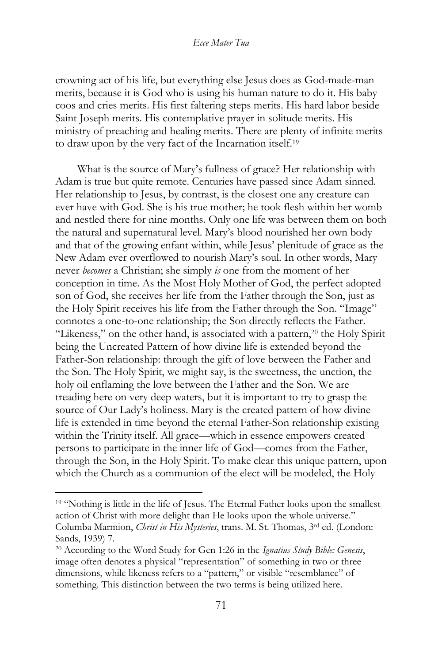crowning act of his life, but everything else Jesus does as God-made-man merits, because it is God who is using his human nature to do it. His baby coos and cries merits. His first faltering steps merits. His hard labor beside Saint Joseph merits. His contemplative prayer in solitude merits. His ministry of preaching and healing merits. There are plenty of infinite merits to draw upon by the very fact of the Incarnation itself.<sup>19</sup>

What is the source of Mary's fullness of grace? Her relationship with Adam is true but quite remote. Centuries have passed since Adam sinned. Her relationship to Jesus, by contrast, is the closest one any creature can ever have with God. She is his true mother; he took flesh within her womb and nestled there for nine months. Only one life was between them on both the natural and supernatural level. Mary's blood nourished her own body and that of the growing enfant within, while Jesus' plenitude of grace as the New Adam ever overflowed to nourish Mary's soul. In other words, Mary never *becomes* a Christian; she simply *is* one from the moment of her conception in time. As the Most Holy Mother of God, the perfect adopted son of God, she receives her life from the Father through the Son, just as the Holy Spirit receives his life from the Father through the Son. "Image" connotes a one-to-one relationship; the Son directly reflects the Father. "Likeness," on the other hand, is associated with a pattern,<sup>20</sup> the Holy Spirit being the Uncreated Pattern of how divine life is extended beyond the Father-Son relationship: through the gift of love between the Father and the Son. The Holy Spirit, we might say, is the sweetness, the unction, the holy oil enflaming the love between the Father and the Son. We are treading here on very deep waters, but it is important to try to grasp the source of Our Lady's holiness. Mary is the created pattern of how divine life is extended in time beyond the eternal Father-Son relationship existing within the Trinity itself. All grace—which in essence empowers created persons to participate in the inner life of God—comes from the Father, through the Son, in the Holy Spirit. To make clear this unique pattern, upon which the Church as a communion of the elect will be modeled, the Holy

<sup>&</sup>lt;sup>19</sup> "Nothing is little in the life of Jesus. The Eternal Father looks upon the smallest action of Christ with more delight than He looks upon the whole universe." Columba Marmion, *Christ in His Mysteries*, trans. M. St. Thomas, 3rd ed. (London: Sands, 1939) 7.

<sup>20</sup> According to the Word Study for Gen 1:26 in the *Ignatius Study Bible: Genesis*, image often denotes a physical "representation" of something in two or three dimensions, while likeness refers to a "pattern," or visible "resemblance" of something. This distinction between the two terms is being utilized here.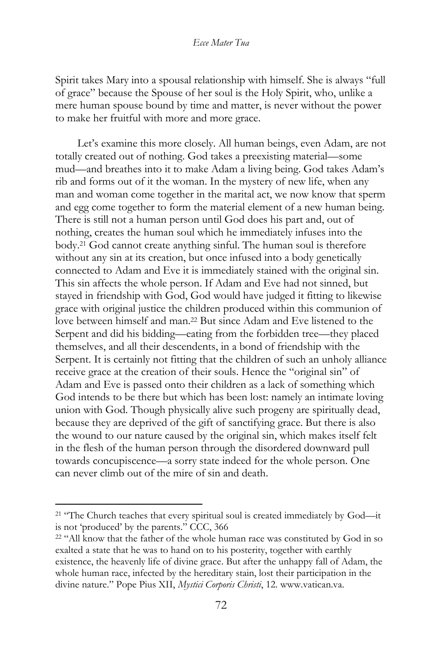Spirit takes Mary into a spousal relationship with himself. She is always "full of grace" because the Spouse of her soul is the Holy Spirit, who, unlike a mere human spouse bound by time and matter, is never without the power to make her fruitful with more and more grace.

Let's examine this more closely. All human beings, even Adam, are not totally created out of nothing. God takes a preexisting material—some mud—and breathes into it to make Adam a living being. God takes Adam's rib and forms out of it the woman. In the mystery of new life, when any man and woman come together in the marital act, we now know that sperm and egg come together to form the material element of a new human being. There is still not a human person until God does his part and, out of nothing, creates the human soul which he immediately infuses into the body.<sup>21</sup> God cannot create anything sinful. The human soul is therefore without any sin at its creation, but once infused into a body genetically connected to Adam and Eve it is immediately stained with the original sin. This sin affects the whole person. If Adam and Eve had not sinned, but stayed in friendship with God, God would have judged it fitting to likewise grace with original justice the children produced within this communion of love between himself and man.<sup>22</sup> But since Adam and Eve listened to the Serpent and did his bidding—eating from the forbidden tree—they placed themselves, and all their descendents, in a bond of friendship with the Serpent. It is certainly not fitting that the children of such an unholy alliance receive grace at the creation of their souls. Hence the "original sin" of Adam and Eve is passed onto their children as a lack of something which God intends to be there but which has been lost: namely an intimate loving union with God. Though physically alive such progeny are spiritually dead, because they are deprived of the gift of sanctifying grace. But there is also the wound to our nature caused by the original sin, which makes itself felt in the flesh of the human person through the disordered downward pull towards concupiscence—a sorry state indeed for the whole person. One can never climb out of the mire of sin and death.

<sup>&</sup>lt;sup>21</sup> "The Church teaches that every spiritual soul is created immediately by God-it is not 'produced' by the parents." CCC, 366

<sup>&</sup>lt;sup>22</sup> "All know that the father of the whole human race was constituted by God in so exalted a state that he was to hand on to his posterity, together with earthly existence, the heavenly life of divine grace. But after the unhappy fall of Adam, the whole human race, infected by the hereditary stain, lost their participation in the divine nature." Pope Pius XII, *Mystici Corporis Christi*, 12. www.vatican.va.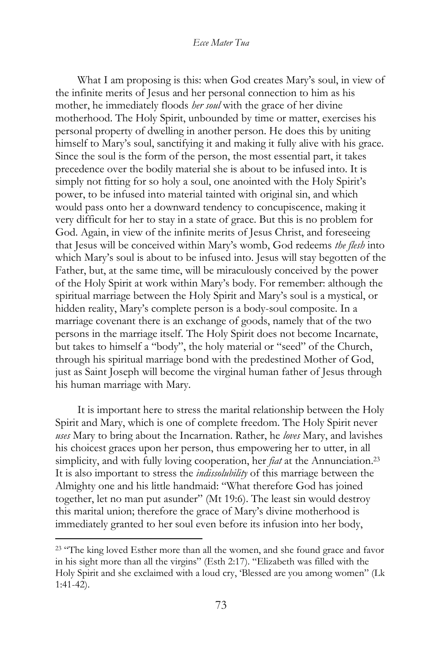What I am proposing is this: when God creates Mary's soul, in view of the infinite merits of Jesus and her personal connection to him as his mother, he immediately floods *her soul* with the grace of her divine motherhood. The Holy Spirit, unbounded by time or matter, exercises his personal property of dwelling in another person. He does this by uniting himself to Mary's soul, sanctifying it and making it fully alive with his grace. Since the soul is the form of the person, the most essential part, it takes precedence over the bodily material she is about to be infused into. It is simply not fitting for so holy a soul, one anointed with the Holy Spirit's power, to be infused into material tainted with original sin, and which would pass onto her a downward tendency to concupiscence, making it very difficult for her to stay in a state of grace. But this is no problem for God. Again, in view of the infinite merits of Jesus Christ, and foreseeing that Jesus will be conceived within Mary's womb, God redeems *the flesh* into which Mary's soul is about to be infused into. Jesus will stay begotten of the Father, but, at the same time, will be miraculously conceived by the power of the Holy Spirit at work within Mary's body. For remember: although the spiritual marriage between the Holy Spirit and Mary's soul is a mystical, or hidden reality, Mary's complete person is a body-soul composite. In a marriage covenant there is an exchange of goods, namely that of the two persons in the marriage itself. The Holy Spirit does not become Incarnate, but takes to himself a "body", the holy material or "seed" of the Church, through his spiritual marriage bond with the predestined Mother of God, just as Saint Joseph will become the virginal human father of Jesus through his human marriage with Mary.

It is important here to stress the marital relationship between the Holy Spirit and Mary, which is one of complete freedom. The Holy Spirit never *uses* Mary to bring about the Incarnation. Rather, he *loves* Mary, and lavishes his choicest graces upon her person, thus empowering her to utter, in all simplicity, and with fully loving cooperation, her *fiat* at the Annunciation.<sup>23</sup> It is also important to stress the *indissolubility* of this marriage between the Almighty one and his little handmaid: "What therefore God has joined together, let no man put asunder" (Mt 19:6). The least sin would destroy this marital union; therefore the grace of Mary's divine motherhood is immediately granted to her soul even before its infusion into her body,

<sup>&</sup>lt;sup>23</sup> "The king loved Esther more than all the women, and she found grace and favor in his sight more than all the virgins" (Esth 2:17). "Elizabeth was filled with the Holy Spirit and she exclaimed with a loud cry, 'Blessed are you among women" (Lk 1:41-42).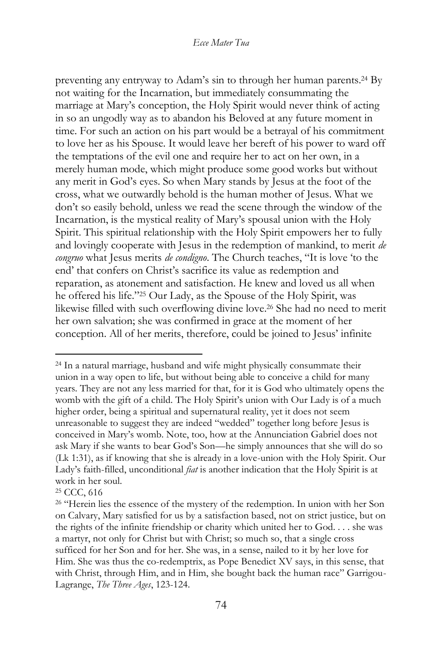preventing any entryway to Adam's sin to through her human parents.<sup>24</sup> By not waiting for the Incarnation, but immediately consummating the marriage at Mary's conception, the Holy Spirit would never think of acting in so an ungodly way as to abandon his Beloved at any future moment in time. For such an action on his part would be a betrayal of his commitment to love her as his Spouse. It would leave her bereft of his power to ward off the temptations of the evil one and require her to act on her own, in a merely human mode, which might produce some good works but without any merit in God's eyes. So when Mary stands by Jesus at the foot of the cross, what we outwardly behold is the human mother of Jesus. What we don't so easily behold, unless we read the scene through the window of the Incarnation, is the mystical reality of Mary's spousal union with the Holy Spirit. This spiritual relationship with the Holy Spirit empowers her to fully and lovingly cooperate with Jesus in the redemption of mankind, to merit *de congruo* what Jesus merits *de condigno*. The Church teaches, "It is love 'to the end' that confers on Christ's sacrifice its value as redemption and reparation, as atonement and satisfaction. He knew and loved us all when he offered his life."<sup>25</sup> Our Lady, as the Spouse of the Holy Spirit, was likewise filled with such overflowing divine love.<sup>26</sup> She had no need to merit her own salvation; she was confirmed in grace at the moment of her conception. All of her merits, therefore, could be joined to Jesus' infinite

<sup>24</sup> In a natural marriage, husband and wife might physically consummate their union in a way open to life, but without being able to conceive a child for many years. They are not any less married for that, for it is God who ultimately opens the womb with the gift of a child. The Holy Spirit's union with Our Lady is of a much higher order, being a spiritual and supernatural reality, yet it does not seem unreasonable to suggest they are indeed "wedded" together long before Jesus is conceived in Mary's womb. Note, too, how at the Annunciation Gabriel does not ask Mary if she wants to bear God's Son—he simply announces that she will do so (Lk 1:31), as if knowing that she is already in a love-union with the Holy Spirit. Our Lady's faith-filled, unconditional *fiat* is another indication that the Holy Spirit is at work in her soul.

<sup>25</sup> CCC, 616

<sup>&</sup>lt;sup>26</sup> "Herein lies the essence of the mystery of the redemption. In union with her Son on Calvary, Mary satisfied for us by a satisfaction based, not on strict justice, but on the rights of the infinite friendship or charity which united her to God. . . . she was a martyr, not only for Christ but with Christ; so much so, that a single cross sufficed for her Son and for her. She was, in a sense, nailed to it by her love for Him. She was thus the co-redemptrix, as Pope Benedict XV says, in this sense, that with Christ, through Him, and in Him, she bought back the human race" Garrigou-Lagrange, *The Three Ages*, 123-124.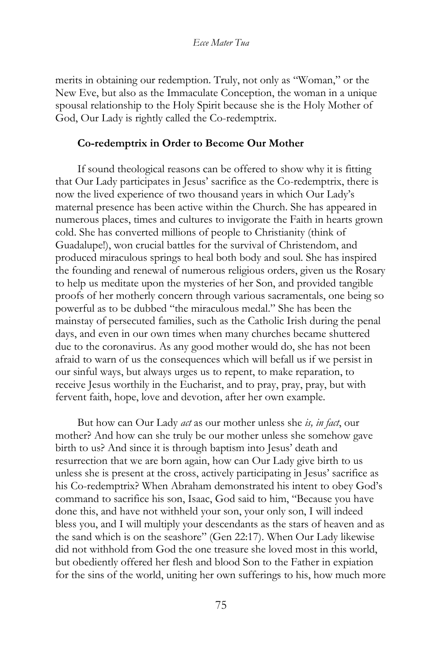merits in obtaining our redemption. Truly, not only as "Woman," or the New Eve, but also as the Immaculate Conception, the woman in a unique spousal relationship to the Holy Spirit because she is the Holy Mother of God, Our Lady is rightly called the Co-redemptrix.

#### **Co-redemptrix in Order to Become Our Mother**

If sound theological reasons can be offered to show why it is fitting that Our Lady participates in Jesus' sacrifice as the Co-redemptrix, there is now the lived experience of two thousand years in which Our Lady's maternal presence has been active within the Church. She has appeared in numerous places, times and cultures to invigorate the Faith in hearts grown cold. She has converted millions of people to Christianity (think of Guadalupe!), won crucial battles for the survival of Christendom, and produced miraculous springs to heal both body and soul. She has inspired the founding and renewal of numerous religious orders, given us the Rosary to help us meditate upon the mysteries of her Son, and provided tangible proofs of her motherly concern through various sacramentals, one being so powerful as to be dubbed "the miraculous medal." She has been the mainstay of persecuted families, such as the Catholic Irish during the penal days, and even in our own times when many churches became shuttered due to the coronavirus. As any good mother would do, she has not been afraid to warn of us the consequences which will befall us if we persist in our sinful ways, but always urges us to repent, to make reparation, to receive Jesus worthily in the Eucharist, and to pray, pray, pray, but with fervent faith, hope, love and devotion, after her own example.

But how can Our Lady *act* as our mother unless she *is, in fact*, our mother? And how can she truly be our mother unless she somehow gave birth to us? And since it is through baptism into Jesus' death and resurrection that we are born again, how can Our Lady give birth to us unless she is present at the cross, actively participating in Jesus' sacrifice as his Co-redemptrix? When Abraham demonstrated his intent to obey God's command to sacrifice his son, Isaac, God said to him, "Because you have done this, and have not withheld your son, your only son, I will indeed bless you, and I will multiply your descendants as the stars of heaven and as the sand which is on the seashore" (Gen 22:17). When Our Lady likewise did not withhold from God the one treasure she loved most in this world, but obediently offered her flesh and blood Son to the Father in expiation for the sins of the world, uniting her own sufferings to his, how much more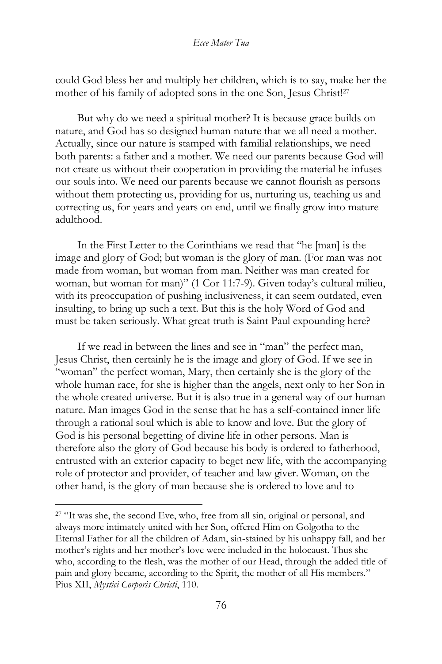could God bless her and multiply her children, which is to say, make her the mother of his family of adopted sons in the one Son, Jesus Christ!<sup>27</sup>

But why do we need a spiritual mother? It is because grace builds on nature, and God has so designed human nature that we all need a mother. Actually, since our nature is stamped with familial relationships, we need both parents: a father and a mother. We need our parents because God will not create us without their cooperation in providing the material he infuses our souls into. We need our parents because we cannot flourish as persons without them protecting us, providing for us, nurturing us, teaching us and correcting us, for years and years on end, until we finally grow into mature adulthood.

In the First Letter to the Corinthians we read that "he [man] is the image and glory of God; but woman is the glory of man. (For man was not made from woman, but woman from man. Neither was man created for woman, but woman for man)" (1 Cor 11:7-9). Given today's cultural milieu, with its preoccupation of pushing inclusiveness, it can seem outdated, even insulting, to bring up such a text. But this is the holy Word of God and must be taken seriously. What great truth is Saint Paul expounding here?

If we read in between the lines and see in "man" the perfect man, Jesus Christ, then certainly he is the image and glory of God. If we see in "woman" the perfect woman, Mary, then certainly she is the glory of the whole human race, for she is higher than the angels, next only to her Son in the whole created universe. But it is also true in a general way of our human nature. Man images God in the sense that he has a self-contained inner life through a rational soul which is able to know and love. But the glory of God is his personal begetting of divine life in other persons. Man is therefore also the glory of God because his body is ordered to fatherhood, entrusted with an exterior capacity to beget new life, with the accompanying role of protector and provider, of teacher and law giver. Woman, on the other hand, is the glory of man because she is ordered to love and to

<sup>&</sup>lt;sup>27</sup> "It was she, the second Eve, who, free from all sin, original or personal, and always more intimately united with her Son, offered Him on Golgotha to the Eternal Father for all the children of Adam, sin-stained by his unhappy fall, and her mother's rights and her mother's love were included in the holocaust. Thus she who, according to the flesh, was the mother of our Head, through the added title of pain and glory became, according to the Spirit, the mother of all His members." Pius XII, *Mystici Corporis Christi*, 110.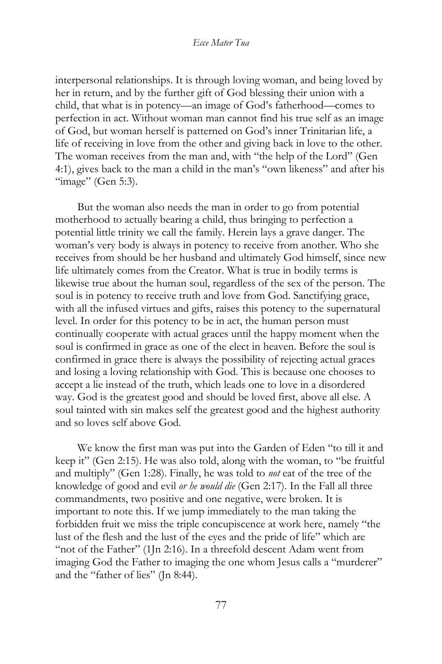interpersonal relationships. It is through loving woman, and being loved by her in return, and by the further gift of God blessing their union with a child, that what is in potency—an image of God's fatherhood—comes to perfection in act. Without woman man cannot find his true self as an image of God, but woman herself is patterned on God's inner Trinitarian life, a life of receiving in love from the other and giving back in love to the other. The woman receives from the man and, with "the help of the Lord" (Gen 4:1), gives back to the man a child in the man's "own likeness" and after his "image" (Gen 5:3).

But the woman also needs the man in order to go from potential motherhood to actually bearing a child, thus bringing to perfection a potential little trinity we call the family. Herein lays a grave danger. The woman's very body is always in potency to receive from another. Who she receives from should be her husband and ultimately God himself, since new life ultimately comes from the Creator. What is true in bodily terms is likewise true about the human soul, regardless of the sex of the person. The soul is in potency to receive truth and love from God. Sanctifying grace, with all the infused virtues and gifts, raises this potency to the supernatural level. In order for this potency to be in act, the human person must continually cooperate with actual graces until the happy moment when the soul is confirmed in grace as one of the elect in heaven. Before the soul is confirmed in grace there is always the possibility of rejecting actual graces and losing a loving relationship with God. This is because one chooses to accept a lie instead of the truth, which leads one to love in a disordered way. God is the greatest good and should be loved first, above all else. A soul tainted with sin makes self the greatest good and the highest authority and so loves self above God.

We know the first man was put into the Garden of Eden "to till it and keep it" (Gen 2:15). He was also told, along with the woman, to "be fruitful and multiply" (Gen 1:28). Finally, he was told to *not* eat of the tree of the knowledge of good and evil *or he would die* (Gen 2:17). In the Fall all three commandments, two positive and one negative, were broken. It is important to note this. If we jump immediately to the man taking the forbidden fruit we miss the triple concupiscence at work here, namely "the lust of the flesh and the lust of the eyes and the pride of life" which are "not of the Father" (1Jn 2:16). In a threefold descent Adam went from imaging God the Father to imaging the one whom Jesus calls a "murderer" and the "father of lies" (Jn 8:44).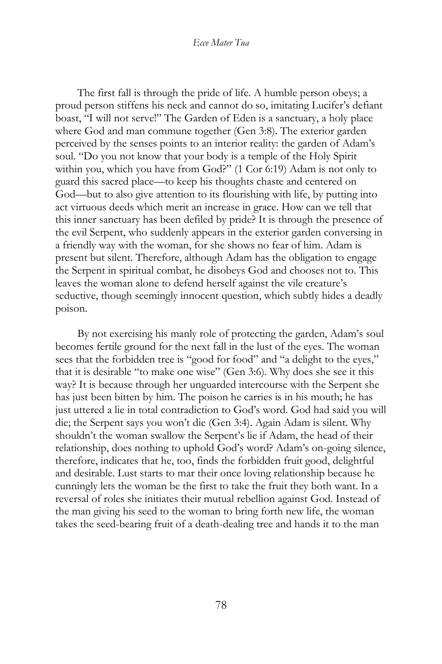The first fall is through the pride of life. A humble person obeys; a proud person stiffens his neck and cannot do so, imitating Lucifer's defiant boast, "I will not serve!" The Garden of Eden is a sanctuary, a holy place where God and man commune together (Gen 3:8). The exterior garden perceived by the senses points to an interior reality: the garden of Adam's soul. "Do you not know that your body is a temple of the Holy Spirit within you, which you have from God?" (1 Cor 6:19) Adam is not only to guard this sacred place—to keep his thoughts chaste and centered on God—but to also give attention to its flourishing with life, by putting into act virtuous deeds which merit an increase in grace. How can we tell that this inner sanctuary has been defiled by pride? It is through the presence of the evil Serpent, who suddenly appears in the exterior garden conversing in a friendly way with the woman, for she shows no fear of him. Adam is present but silent. Therefore, although Adam has the obligation to engage the Serpent in spiritual combat, he disobeys God and chooses not to. This leaves the woman alone to defend herself against the vile creature's seductive, though seemingly innocent question, which subtly hides a deadly poison.

By not exercising his manly role of protecting the garden, Adam's soul becomes fertile ground for the next fall in the lust of the eyes. The woman sees that the forbidden tree is "good for food" and "a delight to the eyes," that it is desirable "to make one wise" (Gen 3:6). Why does she see it this way? It is because through her unguarded intercourse with the Serpent she has just been bitten by him. The poison he carries is in his mouth; he has just uttered a lie in total contradiction to God's word. God had said you will die; the Serpent says you won't die (Gen 3:4). Again Adam is silent. Why shouldn't the woman swallow the Serpent's lie if Adam, the head of their relationship, does nothing to uphold God's word? Adam's on-going silence, therefore, indicates that he, too, finds the forbidden fruit good, delightful and desirable. Lust starts to mar their once loving relationship because he cunningly lets the woman be the first to take the fruit they both want. In a reversal of roles she initiates their mutual rebellion against God. Instead of the man giving his seed to the woman to bring forth new life, the woman takes the seed-bearing fruit of a death-dealing tree and hands it to the man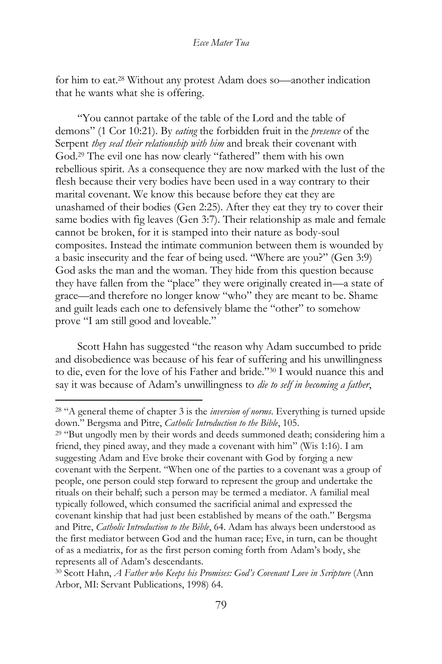for him to eat.<sup>28</sup> Without any protest Adam does so—another indication that he wants what she is offering.

"You cannot partake of the table of the Lord and the table of demons" (1 Cor 10:21). By *eating* the forbidden fruit in the *presence* of the Serpent *they seal their relationship with him* and break their covenant with God.<sup>29</sup> The evil one has now clearly "fathered" them with his own rebellious spirit. As a consequence they are now marked with the lust of the flesh because their very bodies have been used in a way contrary to their marital covenant. We know this because before they eat they are unashamed of their bodies (Gen 2:25). After they eat they try to cover their same bodies with fig leaves (Gen 3:7). Their relationship as male and female cannot be broken, for it is stamped into their nature as body-soul composites. Instead the intimate communion between them is wounded by a basic insecurity and the fear of being used. "Where are you?" (Gen 3:9) God asks the man and the woman. They hide from this question because they have fallen from the "place" they were originally created in—a state of grace—and therefore no longer know "who" they are meant to be. Shame and guilt leads each one to defensively blame the "other" to somehow prove "I am still good and loveable."

Scott Hahn has suggested "the reason why Adam succumbed to pride and disobedience was because of his fear of suffering and his unwillingness to die, even for the love of his Father and bride."<sup>30</sup> I would nuance this and say it was because of Adam's unwillingness to *die to self in becoming a father*,

<sup>28</sup> "A general theme of chapter 3 is the *inversion of norms*. Everything is turned upside down." Bergsma and Pitre, *Catholic Introduction to the Bible*, 105.

<sup>&</sup>lt;sup>29</sup> "But ungodly men by their words and deeds summoned death; considering him a friend, they pined away, and they made a covenant with him" (Wis 1:16). I am suggesting Adam and Eve broke their covenant with God by forging a new covenant with the Serpent. "When one of the parties to a covenant was a group of people, one person could step forward to represent the group and undertake the rituals on their behalf; such a person may be termed a mediator. A familial meal typically followed, which consumed the sacrificial animal and expressed the covenant kinship that had just been established by means of the oath." Bergsma and Pitre, *Catholic Introduction to the Bible*, 64. Adam has always been understood as the first mediator between God and the human race; Eve, in turn, can be thought of as a mediatrix, for as the first person coming forth from Adam's body, she represents all of Adam's descendants.

<sup>30</sup> Scott Hahn, *A Father who Keeps his Promises: God's Covenant Love in Scripture* (Ann Arbor, MI: Servant Publications, 1998) 64.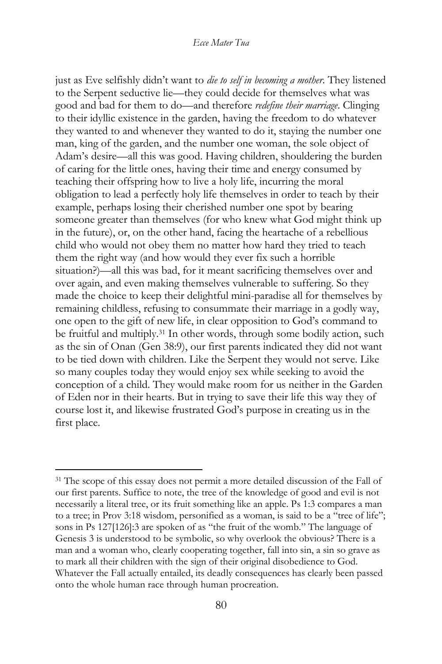just as Eve selfishly didn't want to *die to self in becoming a mother*. They listened to the Serpent seductive lie—they could decide for themselves what was good and bad for them to do—and therefore *redefine their marriage*. Clinging to their idyllic existence in the garden, having the freedom to do whatever they wanted to and whenever they wanted to do it, staying the number one man, king of the garden, and the number one woman, the sole object of Adam's desire—all this was good. Having children, shouldering the burden of caring for the little ones, having their time and energy consumed by teaching their offspring how to live a holy life, incurring the moral obligation to lead a perfectly holy life themselves in order to teach by their example, perhaps losing their cherished number one spot by bearing someone greater than themselves (for who knew what God might think up in the future), or, on the other hand, facing the heartache of a rebellious child who would not obey them no matter how hard they tried to teach them the right way (and how would they ever fix such a horrible situation?)—all this was bad, for it meant sacrificing themselves over and over again, and even making themselves vulnerable to suffering. So they made the choice to keep their delightful mini-paradise all for themselves by remaining childless, refusing to consummate their marriage in a godly way, one open to the gift of new life, in clear opposition to God's command to be fruitful and multiply.<sup>31</sup> In other words, through some bodily action, such as the sin of Onan (Gen 38:9), our first parents indicated they did not want to be tied down with children. Like the Serpent they would not serve. Like so many couples today they would enjoy sex while seeking to avoid the conception of a child. They would make room for us neither in the Garden of Eden nor in their hearts. But in trying to save their life this way they of course lost it, and likewise frustrated God's purpose in creating us in the first place.

<sup>&</sup>lt;sup>31</sup> The scope of this essay does not permit a more detailed discussion of the Fall of our first parents. Suffice to note, the tree of the knowledge of good and evil is not necessarily a literal tree, or its fruit something like an apple. Ps 1:3 compares a man to a tree; in Prov 3:18 wisdom, personified as a woman, is said to be a "tree of life"; sons in Ps 127[126]:3 are spoken of as "the fruit of the womb." The language of Genesis 3 is understood to be symbolic, so why overlook the obvious? There is a man and a woman who, clearly cooperating together, fall into sin, a sin so grave as to mark all their children with the sign of their original disobedience to God. Whatever the Fall actually entailed, its deadly consequences has clearly been passed onto the whole human race through human procreation.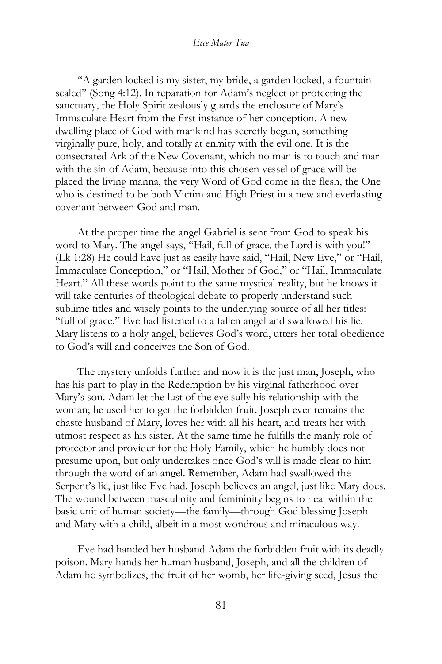"A garden locked is my sister, my bride, a garden locked, a fountain sealed" (Song 4:12). In reparation for Adam's neglect of protecting the sanctuary, the Holy Spirit zealously guards the enclosure of Mary's Immaculate Heart from the first instance of her conception. A new dwelling place of God with mankind has secretly begun, something virginally pure, holy, and totally at enmity with the evil one. It is the consecrated Ark of the New Covenant, which no man is to touch and mar with the sin of Adam, because into this chosen vessel of grace will be placed the living manna, the very Word of God come in the flesh, the One who is destined to be both Victim and High Priest in a new and everlasting covenant between God and man.

At the proper time the angel Gabriel is sent from God to speak his word to Mary. The angel says, "Hail, full of grace, the Lord is with you!" (Lk 1:28) He could have just as easily have said, "Hail, New Eve," or "Hail, Immaculate Conception," or "Hail, Mother of God," or "Hail, Immaculate Heart." All these words point to the same mystical reality, but he knows it will take centuries of theological debate to properly understand such sublime titles and wisely points to the underlying source of all her titles: "full of grace." Eve had listened to a fallen angel and swallowed his lie. Mary listens to a holy angel, believes God's word, utters her total obedience to God's will and conceives the Son of God.

The mystery unfolds further and now it is the just man, Joseph, who has his part to play in the Redemption by his virginal fatherhood over Mary's son. Adam let the lust of the eye sully his relationship with the woman; he used her to get the forbidden fruit. Joseph ever remains the chaste husband of Mary, loves her with all his heart, and treats her with utmost respect as his sister. At the same time he fulfills the manly role of protector and provider for the Holy Family, which he humbly does not presume upon, but only undertakes once God's will is made clear to him through the word of an angel. Remember, Adam had swallowed the Serpent's lie, just like Eve had. Joseph believes an angel, just like Mary does. The wound between masculinity and femininity begins to heal within the basic unit of human society—the family—through God blessing Joseph and Mary with a child, albeit in a most wondrous and miraculous way.

Eve had handed her husband Adam the forbidden fruit with its deadly poison. Mary hands her human husband, Joseph, and all the children of Adam he symbolizes, the fruit of her womb, her life-giving seed, Jesus the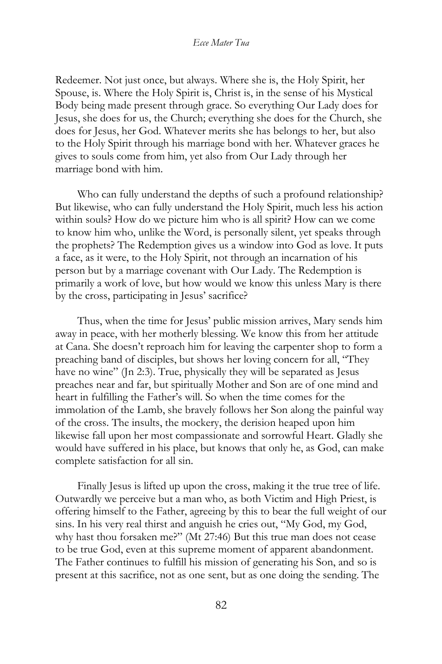Redeemer. Not just once, but always. Where she is, the Holy Spirit, her Spouse, is. Where the Holy Spirit is, Christ is, in the sense of his Mystical Body being made present through grace. So everything Our Lady does for Jesus, she does for us, the Church; everything she does for the Church, she does for Jesus, her God. Whatever merits she has belongs to her, but also to the Holy Spirit through his marriage bond with her. Whatever graces he gives to souls come from him, yet also from Our Lady through her marriage bond with him.

Who can fully understand the depths of such a profound relationship? But likewise, who can fully understand the Holy Spirit, much less his action within souls? How do we picture him who is all spirit? How can we come to know him who, unlike the Word, is personally silent, yet speaks through the prophets? The Redemption gives us a window into God as love. It puts a face, as it were, to the Holy Spirit, not through an incarnation of his person but by a marriage covenant with Our Lady. The Redemption is primarily a work of love, but how would we know this unless Mary is there by the cross, participating in Jesus' sacrifice?

Thus, when the time for Jesus' public mission arrives, Mary sends him away in peace, with her motherly blessing. We know this from her attitude at Cana. She doesn't reproach him for leaving the carpenter shop to form a preaching band of disciples, but shows her loving concern for all, "They have no wine" (Jn 2:3). True, physically they will be separated as Jesus preaches near and far, but spiritually Mother and Son are of one mind and heart in fulfilling the Father's will. So when the time comes for the immolation of the Lamb, she bravely follows her Son along the painful way of the cross. The insults, the mockery, the derision heaped upon him likewise fall upon her most compassionate and sorrowful Heart. Gladly she would have suffered in his place, but knows that only he, as God, can make complete satisfaction for all sin.

Finally Jesus is lifted up upon the cross, making it the true tree of life. Outwardly we perceive but a man who, as both Victim and High Priest, is offering himself to the Father, agreeing by this to bear the full weight of our sins. In his very real thirst and anguish he cries out, "My God, my God, why hast thou forsaken me?" (Mt 27:46) But this true man does not cease to be true God, even at this supreme moment of apparent abandonment. The Father continues to fulfill his mission of generating his Son, and so is present at this sacrifice, not as one sent, but as one doing the sending. The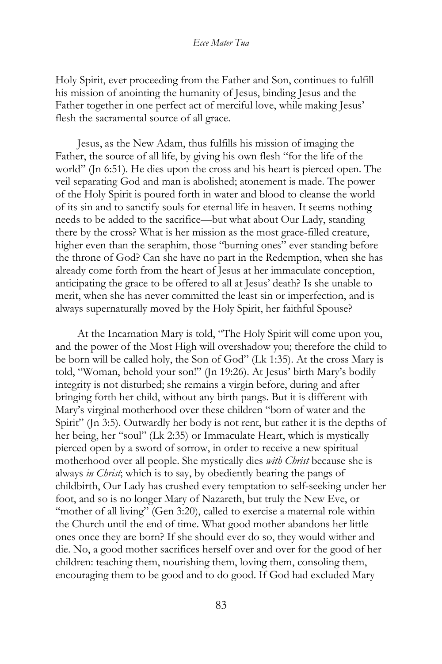Holy Spirit, ever proceeding from the Father and Son, continues to fulfill his mission of anointing the humanity of Jesus, binding Jesus and the Father together in one perfect act of merciful love, while making Jesus' flesh the sacramental source of all grace.

Jesus, as the New Adam, thus fulfills his mission of imaging the Father, the source of all life, by giving his own flesh "for the life of the world" (Jn 6:51). He dies upon the cross and his heart is pierced open. The veil separating God and man is abolished; atonement is made. The power of the Holy Spirit is poured forth in water and blood to cleanse the world of its sin and to sanctify souls for eternal life in heaven. It seems nothing needs to be added to the sacrifice—but what about Our Lady, standing there by the cross? What is her mission as the most grace-filled creature, higher even than the seraphim, those "burning ones" ever standing before the throne of God? Can she have no part in the Redemption, when she has already come forth from the heart of Jesus at her immaculate conception, anticipating the grace to be offered to all at Jesus' death? Is she unable to merit, when she has never committed the least sin or imperfection, and is always supernaturally moved by the Holy Spirit, her faithful Spouse?

At the Incarnation Mary is told, "The Holy Spirit will come upon you, and the power of the Most High will overshadow you; therefore the child to be born will be called holy, the Son of God" (Lk 1:35). At the cross Mary is told, "Woman, behold your son!" (Jn 19:26). At Jesus' birth Mary's bodily integrity is not disturbed; she remains a virgin before, during and after bringing forth her child, without any birth pangs. But it is different with Mary's virginal motherhood over these children "born of water and the Spirit" (Jn 3:5). Outwardly her body is not rent, but rather it is the depths of her being, her "soul" (Lk 2:35) or Immaculate Heart, which is mystically pierced open by a sword of sorrow, in order to receive a new spiritual motherhood over all people. She mystically dies *with Christ* because she is always *in Christ*; which is to say, by obediently bearing the pangs of childbirth, Our Lady has crushed every temptation to self-seeking under her foot, and so is no longer Mary of Nazareth, but truly the New Eve, or "mother of all living" (Gen 3:20), called to exercise a maternal role within the Church until the end of time. What good mother abandons her little ones once they are born? If she should ever do so, they would wither and die. No, a good mother sacrifices herself over and over for the good of her children: teaching them, nourishing them, loving them, consoling them, encouraging them to be good and to do good. If God had excluded Mary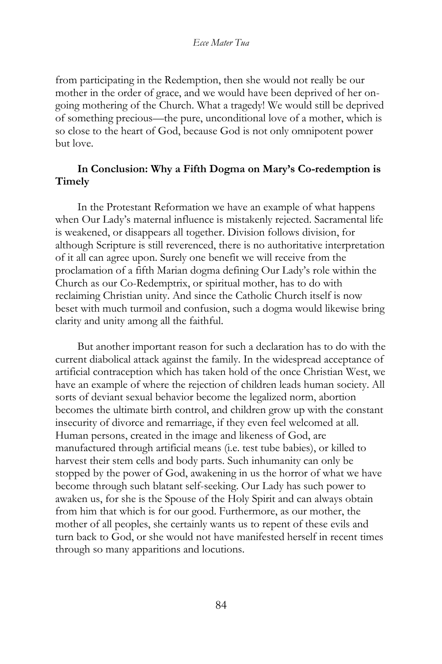from participating in the Redemption, then she would not really be our mother in the order of grace, and we would have been deprived of her ongoing mothering of the Church. What a tragedy! We would still be deprived of something precious—the pure, unconditional love of a mother, which is so close to the heart of God, because God is not only omnipotent power but love.

## **In Conclusion: Why a Fifth Dogma on Mary's Co-redemption is Timely**

In the Protestant Reformation we have an example of what happens when Our Lady's maternal influence is mistakenly rejected. Sacramental life is weakened, or disappears all together. Division follows division, for although Scripture is still reverenced, there is no authoritative interpretation of it all can agree upon. Surely one benefit we will receive from the proclamation of a fifth Marian dogma defining Our Lady's role within the Church as our Co-Redemptrix, or spiritual mother, has to do with reclaiming Christian unity. And since the Catholic Church itself is now beset with much turmoil and confusion, such a dogma would likewise bring clarity and unity among all the faithful.

But another important reason for such a declaration has to do with the current diabolical attack against the family. In the widespread acceptance of artificial contraception which has taken hold of the once Christian West, we have an example of where the rejection of children leads human society. All sorts of deviant sexual behavior become the legalized norm, abortion becomes the ultimate birth control, and children grow up with the constant insecurity of divorce and remarriage, if they even feel welcomed at all. Human persons, created in the image and likeness of God, are manufactured through artificial means (i.e. test tube babies), or killed to harvest their stem cells and body parts. Such inhumanity can only be stopped by the power of God, awakening in us the horror of what we have become through such blatant self-seeking. Our Lady has such power to awaken us, for she is the Spouse of the Holy Spirit and can always obtain from him that which is for our good. Furthermore, as our mother, the mother of all peoples, she certainly wants us to repent of these evils and turn back to God, or she would not have manifested herself in recent times through so many apparitions and locutions.